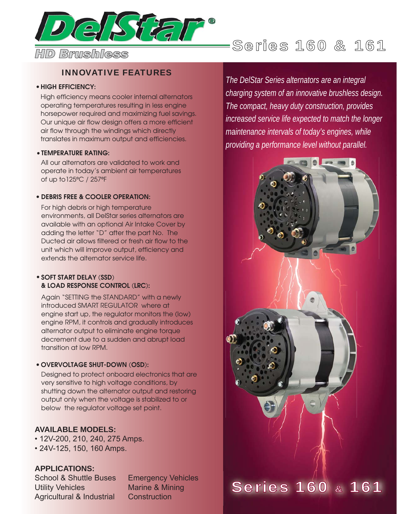

## INNOVATIVE FEATURES

### •**HIGH EFFICIENCY:**

High efficiency means cooler internal alternators operating temperatures resulting in less engine horsepower required and maximizing fuel savings. Our unique air flow design offers a more efficient air flow through the windings which directly translates in maximum output and efficiencies.

### **TEMPERATURE RATING:** •

All our alternators are validated to work and operate in today's ambient air temperatures of up to125ºC / 257ºF

### **DEBRIS FREE & COOLER OPERATION:** •

For high debris or high temperature environments, all DelStar series alternators are available with an optional Air Intake Cover by adding the letter "D" after the part No. The Ducted air allows filtered or fresh air flow to the unit which will improve output, efficiency and extends the alternator service life.

### • **SOFT START DELAY (SSD) & LOAD RESPONSE CONTROL (LRC):**

Again "SETTING the STANDARD" with a newly introduced SMART REGULATOR where at engine start up, the regulator monitors the (low) engine RPM, it controls and gradually introduces alternator output to eliminate engine torque decrement due to a sudden and abrupt load transition at low RPM.

### **OVERVOLTAGE SHUT-DOWN (OSD):** •

Designed to protect onboard electronics that are very sensitive to high voltage conditions, by shutting down the alternator output and restoring output only when the voltage is stabilized to or below the regulator voltage set point.

### **AVAILABLE MODELS:**

• 12V-200, 210, 240, 275 Amps.

• 24V-125, 150, 160 Amps.

### **APPLICATIONS:**

School & Shuttle Buses Emergency Vehicles Utility Vehicles Marine & Mining Agricultural & Industrial Construction

*The DelStar Series alternators are an integral charging system of an innovative brushless design. The compact, heavy duty construction, provides increased service life expected to match the longer maintenance intervals of today's engines, while providing a performance level without parallel.*

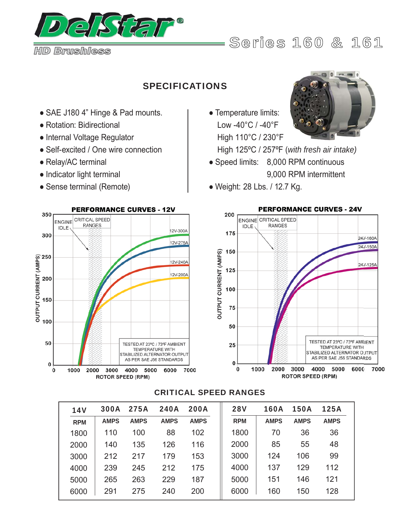

*HD Brushless*

# Series 160 & 161

# SPECIFICATIONS

- SAE J180 4" Hinge & Pad mounts.
- Rotation: Bidirectional
- Internal Voltage Regulator
- Self-excited / One wire connection
- Relay/AC terminal
- Indicator light terminal
- Sense terminal (Remote)



# ● Temperature limits: Low -40°C / -40°F High 110°C / 230°F



High 125ºC / 257ºF (*with fresh air intake)*

- Speed limits: 8,000 RPM continuous 9,000 RPM intermittent
- Weight: 28 Lbs. / 12.7 Kg.



### CRITICAL SPEED RANGES

| <b>14V</b> | <b>300A</b> | <b>275A</b> | <b>240A</b> | <b>200A</b> | <b>28V</b> | 160A        | <b>150A</b> | <b>125A</b> |
|------------|-------------|-------------|-------------|-------------|------------|-------------|-------------|-------------|
| <b>RPM</b> | <b>AMPS</b> | <b>AMPS</b> | <b>AMPS</b> | <b>AMPS</b> | <b>RPM</b> | <b>AMPS</b> | <b>AMPS</b> | <b>AMPS</b> |
| 1800       | 110         | 100         | 88          | 102         | 1800       | 70          | 36          | 36          |
| 2000       | 140         | 135         | 126         | 116         | 2000       | 85          | 55          | 48          |
| 3000       | 212         | 217         | 179         | 153         | 3000       | 124         | 106         | 99          |
| 4000       | 239         | 245         | 212         | 175         | 4000       | 137         | 129         | 112         |
| 5000       | 265         | 263         | 229         | 187         | 5000       | 151         | 146         | 121         |
| 6000       | 291         | 275         | 240         | 200         | 6000       | 160         | 150         | 128         |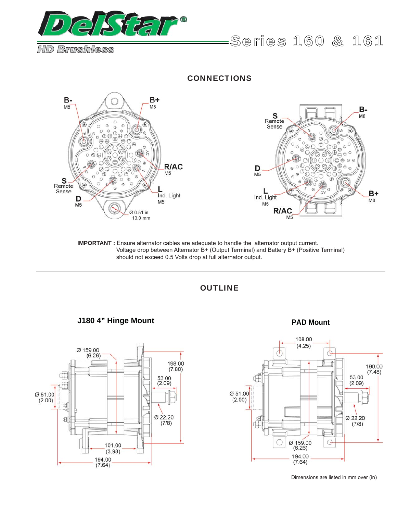

*HD Brushless*

**CONNECTIONS** 



**IMPORTANT :** Ensure alternator cables are adequate to handle the alternator output current. Voltage drop between Alternator B+ (Output Terminal) and Battery B+ (Positive Terminal) should not exceed 0.5 Volts drop at full alternator output.

**OUTLINE** 





Series 160 & 161



Dimensions are listed in mm over (in)